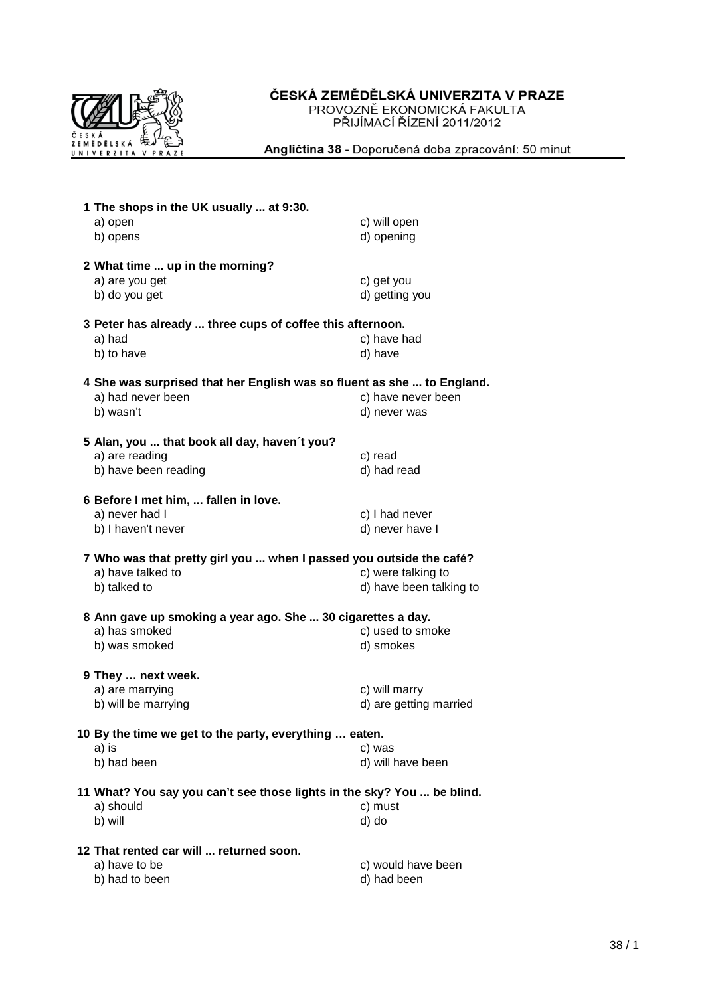

## ČESKÁ ZEMĚDĚLSKÁ UNIVERZITA V PRAZE

PROVOZNĚ EKONOMICKÁ FAKULTA<br>PŘIJÍMACÍ ŘÍZENÍ 2011/2012

Angličtina 38 - Doporučená doba zpracování: 50 minut

|                                                           | 1 The shops in the UK usually  at 9:30.                                |                         |  |  |  |
|-----------------------------------------------------------|------------------------------------------------------------------------|-------------------------|--|--|--|
|                                                           | a) open                                                                | c) will open            |  |  |  |
|                                                           | b) opens                                                               | d) opening              |  |  |  |
|                                                           |                                                                        |                         |  |  |  |
|                                                           | 2 What time  up in the morning?                                        |                         |  |  |  |
|                                                           | a) are you get                                                         | c) get you              |  |  |  |
|                                                           | b) do you get                                                          | d) getting you          |  |  |  |
|                                                           |                                                                        |                         |  |  |  |
| 3 Peter has already  three cups of coffee this afternoon. |                                                                        |                         |  |  |  |
|                                                           | a) had                                                                 | c) have had             |  |  |  |
|                                                           | b) to have                                                             | d) have                 |  |  |  |
|                                                           | 4 She was surprised that her English was so fluent as she  to England. |                         |  |  |  |
|                                                           | a) had never been                                                      | c) have never been      |  |  |  |
|                                                           |                                                                        |                         |  |  |  |
|                                                           | b) wasn't                                                              | d) never was            |  |  |  |
|                                                           | 5 Alan, you  that book all day, haven't you?                           |                         |  |  |  |
|                                                           | a) are reading                                                         | c) read                 |  |  |  |
|                                                           | b) have been reading                                                   | d) had read             |  |  |  |
|                                                           |                                                                        |                         |  |  |  |
|                                                           | 6 Before I met him,  fallen in love.                                   |                         |  |  |  |
|                                                           | a) never had I                                                         | c) I had never          |  |  |  |
|                                                           | b) I haven't never                                                     | d) never have I         |  |  |  |
|                                                           |                                                                        |                         |  |  |  |
|                                                           | 7 Who was that pretty girl you  when I passed you outside the café?    |                         |  |  |  |
|                                                           | a) have talked to                                                      | c) were talking to      |  |  |  |
|                                                           | b) talked to                                                           | d) have been talking to |  |  |  |
|                                                           |                                                                        |                         |  |  |  |
|                                                           | 8 Ann gave up smoking a year ago. She  30 cigarettes a day.            |                         |  |  |  |
|                                                           | a) has smoked                                                          | c) used to smoke        |  |  |  |
|                                                           | b) was smoked                                                          | d) smokes               |  |  |  |
|                                                           | 9 They  next week.                                                     |                         |  |  |  |
|                                                           | a) are marrying                                                        | c) will marry           |  |  |  |
|                                                           | b) will be marrying                                                    | d) are getting married  |  |  |  |
|                                                           |                                                                        |                         |  |  |  |
|                                                           | 10 By the time we get to the party, everything  eaten.                 |                         |  |  |  |
|                                                           | a) is                                                                  | c) was                  |  |  |  |
|                                                           | b) had been                                                            | d) will have been       |  |  |  |
|                                                           |                                                                        |                         |  |  |  |
|                                                           | 11 What? You say you can't see those lights in the sky? You  be blind. |                         |  |  |  |
|                                                           | a) should                                                              | c) must                 |  |  |  |
|                                                           | b) will                                                                | d) do                   |  |  |  |
|                                                           |                                                                        |                         |  |  |  |
|                                                           | 12 That rented car will  returned soon.                                |                         |  |  |  |
|                                                           | a) have to be                                                          | c) would have been      |  |  |  |
|                                                           | b) had to been                                                         | d) had been             |  |  |  |
|                                                           |                                                                        |                         |  |  |  |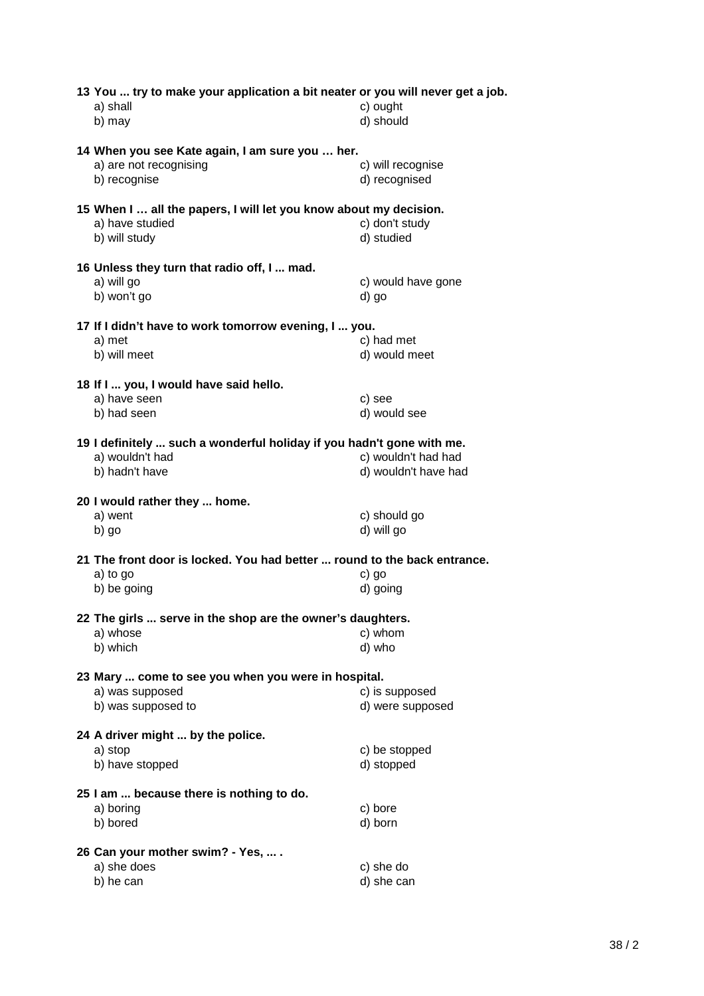| 13 You  try to make your application a bit neater or you will never get a job.<br>a) shall<br>b) may       | c) ought<br>d) should                       |
|------------------------------------------------------------------------------------------------------------|---------------------------------------------|
| 14 When you see Kate again, I am sure you  her.<br>a) are not recognising<br>b) recognise                  | c) will recognise<br>d) recognised          |
| 15 When I  all the papers, I will let you know about my decision.<br>a) have studied<br>b) will study      | c) don't study<br>d) studied                |
| 16 Unless they turn that radio off, I  mad.<br>a) will go<br>b) won't go                                   | c) would have gone<br>d) go                 |
| 17 If I didn't have to work tomorrow evening, I  you.<br>a) met<br>b) will meet                            | c) had met<br>d) would meet                 |
| 18 If I  you, I would have said hello.<br>a) have seen<br>b) had seen                                      | c) see<br>d) would see                      |
| 19 I definitely  such a wonderful holiday if you hadn't gone with me.<br>a) wouldn't had<br>b) hadn't have | c) wouldn't had had<br>d) wouldn't have had |
| 20 I would rather they  home.<br>a) went<br>b) go                                                          | c) should go<br>d) will go                  |
| 21 The front door is locked. You had better  round to the back entrance.<br>a) to go<br>b) be going        | c) go<br>d) going                           |
| 22 The girls  serve in the shop are the owner's daughters.<br>a) whose<br>b) which                         | c) whom<br>d) who                           |
| 23 Mary  come to see you when you were in hospital.<br>a) was supposed<br>b) was supposed to               | c) is supposed<br>d) were supposed          |
| 24 A driver might  by the police.<br>a) stop<br>b) have stopped                                            | c) be stopped<br>d) stopped                 |
| 25 I am  because there is nothing to do.<br>a) boring<br>b) bored                                          | c) bore<br>d) born                          |
| 26 Can your mother swim? - Yes,  .<br>a) she does<br>b) he can                                             | c) she do<br>d) she can                     |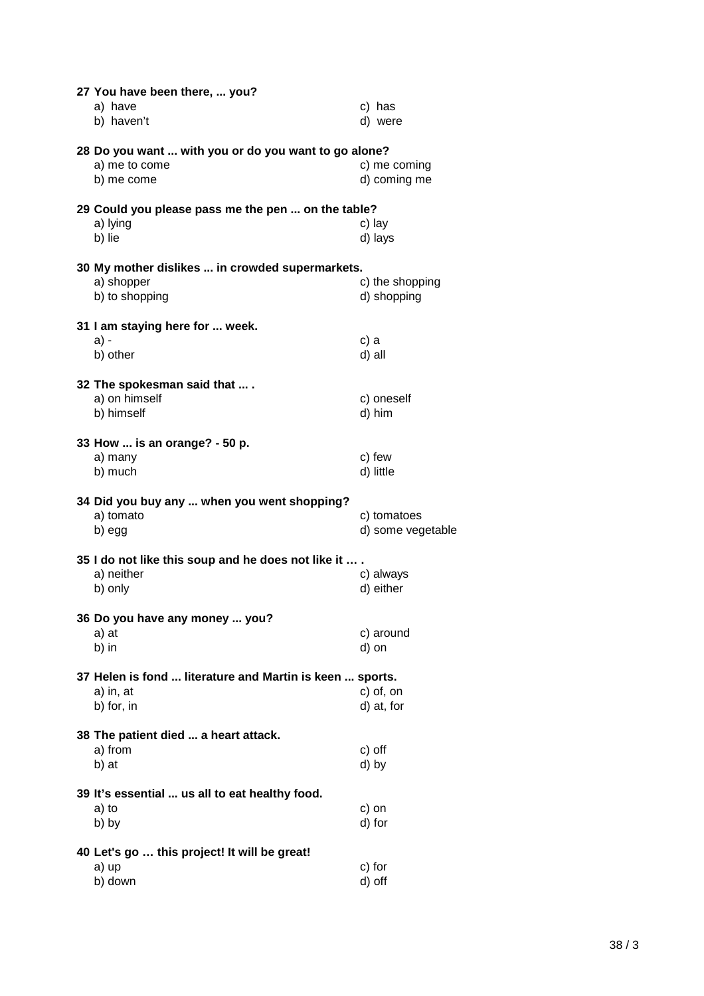| 27 You have been there,  you?<br>a) have<br>b) haven't                              | c) has<br>d) were                |
|-------------------------------------------------------------------------------------|----------------------------------|
| 28 Do you want  with you or do you want to go alone?<br>a) me to come<br>b) me come | c) me coming<br>d) coming me     |
| 29 Could you please pass me the pen  on the table?<br>a) lying<br>b) lie            | c) lay<br>d) lays                |
| 30 My mother dislikes  in crowded supermarkets.<br>a) shopper<br>b) to shopping     | c) the shopping<br>d) shopping   |
| 31 I am staying here for  week.<br>a) -<br>b) other                                 | c) a<br>d) all                   |
| 32 The spokesman said that  .<br>a) on himself<br>b) himself                        | c) oneself<br>d) him             |
| 33 How  is an orange? - 50 p.<br>a) many<br>b) much                                 | c) few<br>d) little              |
| 34 Did you buy any  when you went shopping?<br>a) tomato<br>b) egg                  | c) tomatoes<br>d) some vegetable |
| 35 I do not like this soup and he does not like it<br>a) neither<br>b) only         | c) always<br>d) either           |
| 36 Do you have any money  you?<br>a) at<br>b) in                                    | c) around<br>d) on               |
| 37 Helen is fond  literature and Martin is keen  sports.<br>a) in, at<br>b) for, in | c) of, on<br>d) at, for          |
| 38 The patient died  a heart attack.<br>a) from<br>b) at                            | c) off<br>d) by                  |
| 39 It's essential  us all to eat healthy food.<br>a) to<br>b) by                    | c) on<br>d) for                  |
| 40 Let's go  this project! It will be great!<br>a) up<br>b) down                    | c) for<br>d) off                 |